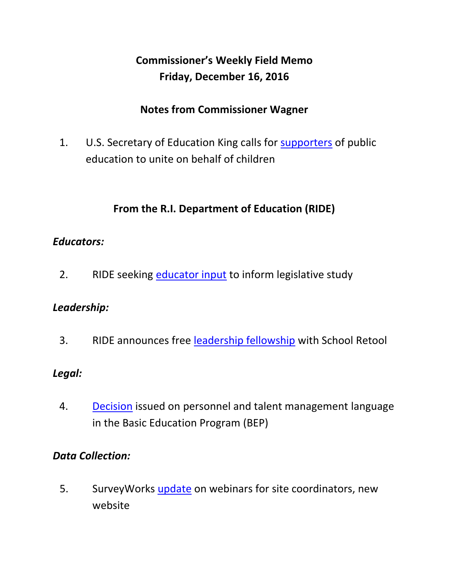# **Commissioner's Weekly Field Memo Friday, December 16, 2016**

#### **Notes from Commissioner Wagner**

1. U.S. Secretary of Education King calls for [supporters](#page-2-0) of public education to unite on behalf of children

### **From the R.I. Department of Education (RIDE)**

#### *Educators:*

2. RIDE seeking [educator input](#page-5-0) to inform legislative study

#### *Leadership:*

3. RIDE announces free [leadership fellowship](#page-6-0) with School Retool

#### *Legal:*

4. [Decision](#page-7-0) issued on personnel and talent management language in the Basic Education Program (BEP)

#### *Data Collection:*

5. Survey Works [update](#page-8-0) on webinars for site coordinators, new website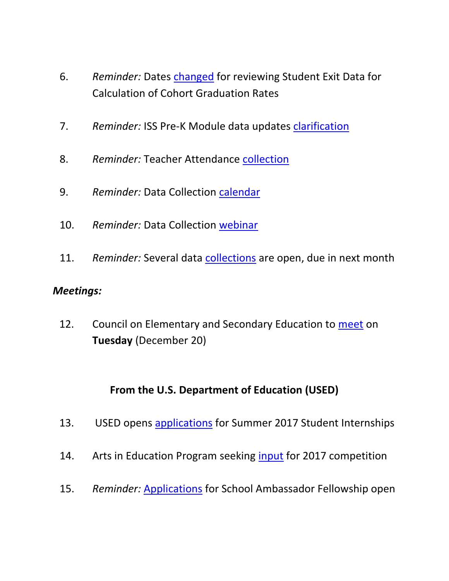- 6. *Reminder:* Dates [changed](#page-8-1) for reviewing Student Exit Data for Calculation of Cohort Graduation Rates
- 7. *Reminder:* ISS Pre-K Module data updates [clarification](#page-9-0)
- 8. *Reminder:* Teacher Attendance [collection](#page-9-1)
- 9. *Reminder:* Data Collection [calendar](#page-9-2)
- 10. *Reminder:* Data Collection [webinar](#page-9-3)
- 11. Reminder: Several data **collections** are open, due in next month

#### *Meetings:*

12. Council on Elementary and Secondary Education to [meet](#page-10-1) on **Tuesday** (December 20)

### **From the U.S. Department of Education (USED)**

- 13. USED opens [applications](#page-11-0) for Summer 2017 Student Internships
- 14. Arts in Education Program seeking [input](#page-12-0) for 2017 competition
- 15. *Reminder:* [Applications](#page-13-0) for School Ambassador Fellowship open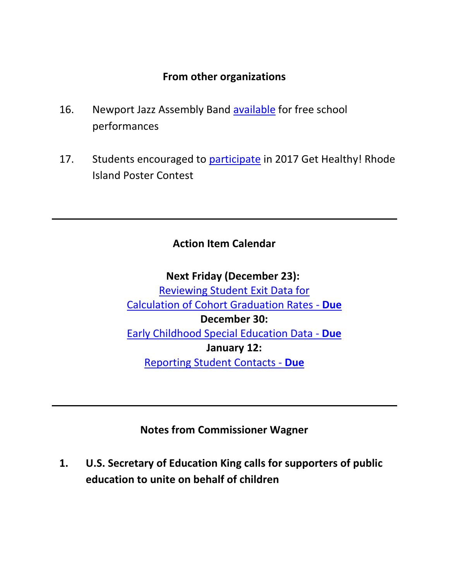#### **From other organizations**

- 16. Newport Jazz Assembly Band [available](#page-14-0) for free school performances
- 17. Students encouraged to [participate](#page-15-0) in 2017 Get Healthy! Rhode Island Poster Contest

#### **Action Item Calendar**

**Next Friday (December 23):** [Reviewing Student Exit Data for](https://www.eride.ri.gov/eRide40/DataDictionary/ViewDetails.aspx?ID=356)  [Calculation of Cohort Graduation Rates -](https://www.eride.ri.gov/eRide40/DataDictionary/ViewDetails.aspx?ID=356) **Due December 30:**  [Early Childhood Special Education Data -](https://www.eride.ri.gov/eRide40/DataDictionary/ViewDetails.aspx?ID=363) **Due January 12:**  [Reporting Student Contacts -](https://www.eride.ri.gov/eRide40/DataDictionary/ViewDetails.aspx?ID=342) **Due**

#### **Notes from Commissioner Wagner**

<span id="page-2-0"></span>**1. U.S. Secretary of Education King calls for supporters of public education to unite on behalf of children**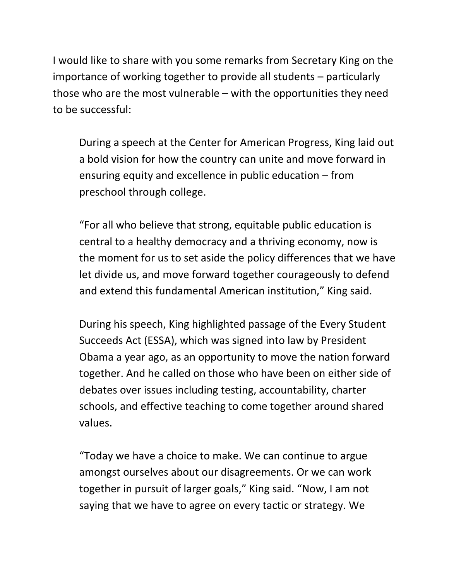I would like to share with you some remarks from Secretary King on the importance of working together to provide all students – particularly those who are the most vulnerable – with the opportunities they need to be successful:

During a speech at the Center for American Progress, King laid out a bold vision for how the country can unite and move forward in ensuring equity and excellence in public education – from preschool through college.

"For all who believe that strong, equitable public education is central to a healthy democracy and a thriving economy, now is the moment for us to set aside the policy differences that we have let divide us, and move forward together courageously to defend and extend this fundamental American institution," King said.

During his speech, King highlighted passage of the Every Student Succeeds Act (ESSA), which was signed into law by President Obama a year ago, as an opportunity to move the nation forward together. And he called on those who have been on either side of debates over issues including testing, accountability, charter schools, and effective teaching to come together around shared values.

"Today we have a choice to make. We can continue to argue amongst ourselves about our disagreements. Or we can work together in pursuit of larger goals," King said. "Now, I am not saying that we have to agree on every tactic or strategy. We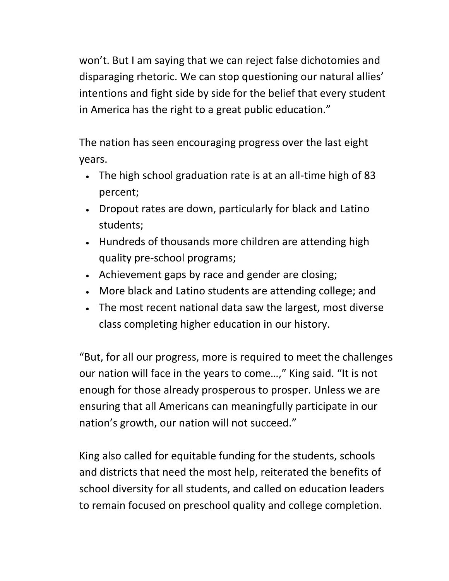won't. But I am saying that we can reject false dichotomies and disparaging rhetoric. We can stop questioning our natural allies' intentions and fight side by side for the belief that every student in America has the right to a great public education."

The nation has seen encouraging progress over the last eight years.

- The high school graduation rate is at an all-time high of 83 percent;
- Dropout rates are down, particularly for black and Latino students;
- Hundreds of thousands more children are attending high quality pre-school programs;
- Achievement gaps by race and gender are closing;
- More black and Latino students are attending college; and
- The most recent national data saw the largest, most diverse class completing higher education in our history.

"But, for all our progress, more is required to meet the challenges our nation will face in the years to come…," King said. "It is not enough for those already prosperous to prosper. Unless we are ensuring that all Americans can meaningfully participate in our nation's growth, our nation will not succeed."

King also called for equitable funding for the students, schools and districts that need the most help, reiterated the benefits of school diversity for all students, and called on education leaders to remain focused on preschool quality and college completion.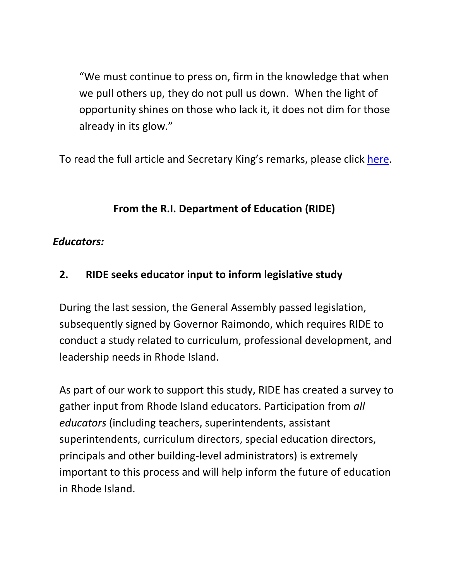"We must continue to press on, firm in the knowledge that when we pull others up, they do not pull us down. When the light of opportunity shines on those who lack it, it does not dim for those already in its glow."

To read the full article and Secretary King's remarks, please click [here.](http://www.ed.gov/news/press-releases/king-calls-supporters-public-education-unite-behalf-children)

## **From the R.I. Department of Education (RIDE)**

#### *Educators:*

## <span id="page-5-0"></span>**2. RIDE seeks educator input to inform legislative study**

During the last session, the General Assembly passed legislation, subsequently signed by Governor Raimondo, which requires RIDE to conduct a study related to curriculum, professional development, and leadership needs in Rhode Island.

As part of our work to support this study, RIDE has created a survey to gather input from Rhode Island educators. Participation from *all educators* (including teachers, superintendents, assistant superintendents, curriculum directors, special education directors, principals and other building-level administrators) is extremely important to this process and will help inform the future of education in Rhode Island.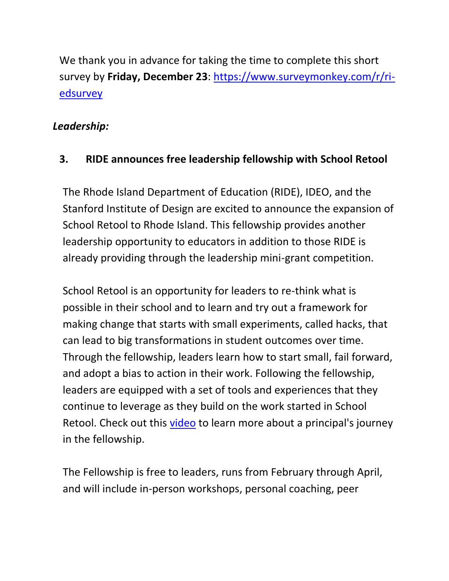We thank you in advance for taking the time to complete this short survey by **Friday, December 23**: [https://www.surveymonkey.com/r/ri](https://www.surveymonkey.com/r/ri-edsurvey)[edsurvey](https://www.surveymonkey.com/r/ri-edsurvey)

#### *Leadership:*

## <span id="page-6-0"></span>**3. RIDE announces free leadership fellowship with School Retool**

The Rhode Island Department of Education (RIDE), IDEO, and the Stanford Institute of Design are excited to announce the expansion of School Retool to Rhode Island. This fellowship provides another leadership opportunity to educators in addition to those RIDE is already providing through the leadership mini-grant competition.

School Retool is an opportunity for leaders to re-think what is possible in their school and to learn and try out a framework for making change that starts with small experiments, called hacks, that can lead to big transformations in student outcomes over time. Through the fellowship, leaders learn how to start small, fail forward, and adopt a bias to action in their work. Following the fellowship, leaders are equipped with a set of tools and experiences that they continue to leverage as they build on the work started in School Retool. Check out this [video](https://vimeo.com/album/3443329/video/170687712) to learn more about a principal's journey in the fellowship.

The Fellowship is free to leaders, runs from February through April, and will include in-person workshops, personal coaching, peer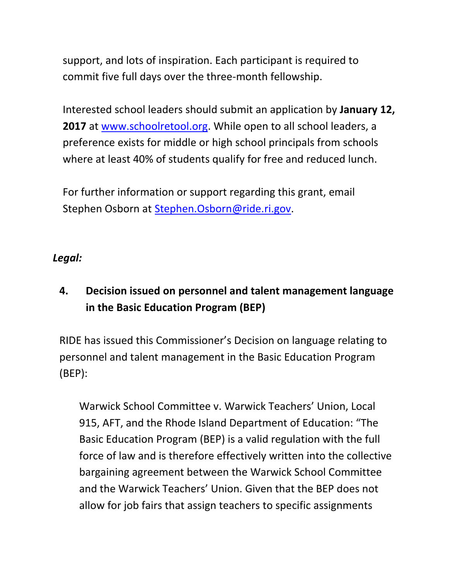support, and lots of inspiration. Each participant is required to commit five full days over the three-month fellowship.

Interested school leaders should submit an application by **January 12,**  2017 at [www.schoolretool.org.](http://www.schoolretool.org/) While open to all school leaders, a preference exists for middle or high school principals from schools where at least 40% of students qualify for free and reduced lunch.

For further information or support regarding this grant, email Stephen Osborn at [Stephen.Osborn@ride.ri.gov.](mailto:Stephen.Osborn@ride.ri.gov)

#### *Legal:*

## <span id="page-7-0"></span>**4. Decision issued on personnel and talent management language in the Basic Education Program (BEP)**

RIDE has issued this Commissioner's Decision on language relating to personnel and talent management in the Basic Education Program (BEP):

Warwick School Committee v. Warwick Teachers' Union, Local 915, AFT, and the Rhode Island Department of Education: "The Basic Education Program (BEP) is a valid regulation with the full force of law and is therefore effectively written into the collective bargaining agreement between the Warwick School Committee and the Warwick Teachers' Union. Given that the BEP does not allow for job fairs that assign teachers to specific assignments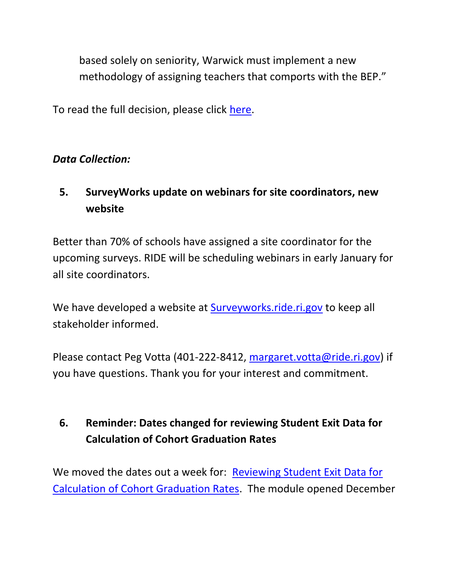based solely on seniority, Warwick must implement a new methodology of assigning teachers that comports with the BEP."

To read the full decision, please click [here.](http://www2.ride.ri.gov/applications/RideDirectory/DOCS/2016/024-16%20Warwick%20S.C.%20vs.%20Warwick%20T.U.11-28-16.pdf)

### *Data Collection:*

# <span id="page-8-0"></span>**5. SurveyWorks update on webinars for site coordinators, new website**

Better than 70% of schools have assigned a site coordinator for the upcoming surveys. RIDE will be scheduling webinars in early January for all site coordinators.

We have developed a website at [Surveyworks.ride.ri.gov](http://surveyworks.ride.ri.gov/index.html) to keep all stakeholder informed.

Please contact Peg Votta (401-222-8412, [margaret.votta@ride.ri.gov\)](mailto:margaret.votta@ride.ri.gov) if you have questions. Thank you for your interest and commitment.

# <span id="page-8-1"></span>**6. Reminder: Dates changed for reviewing Student Exit Data for Calculation of Cohort Graduation Rates**

We moved the dates out a week for: [Reviewing Student Exit Data for](https://www.eride.ri.gov/eRide40/DataDictionary/ViewDetails.aspx?ID=356)  [Calculation of Cohort Graduation Rates.](https://www.eride.ri.gov/eRide40/DataDictionary/ViewDetails.aspx?ID=356) The module opened December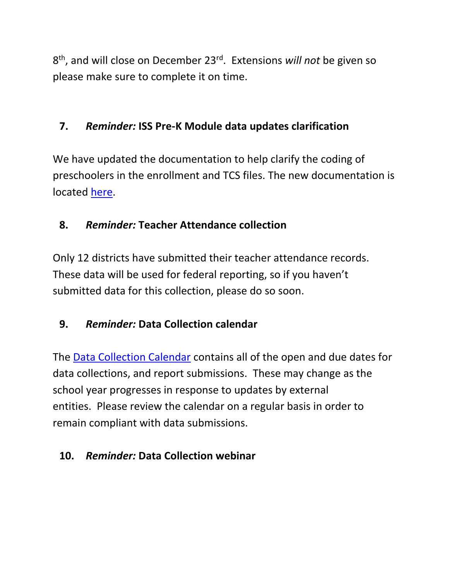8 th, and will close on December 23rd . Extensions *will not* be given so please make sure to complete it on time.

#### <span id="page-9-0"></span>**7.** *Reminder:* **ISS Pre-K Module data updates clarification**

We have updated the documentation to help clarify the coding of preschoolers in the enrollment and TCS files. The new documentation is located [here.](http://www.ride.ri.gov/Portals/0/Uploads/Documents/PK_TCS_Setup_v3.7.2.pdf)

### <span id="page-9-1"></span>**8.** *Reminder:* **Teacher Attendance collection**

Only 12 districts have submitted their teacher attendance records. These data will be used for federal reporting, so if you haven't submitted data for this collection, please do so soon.

### <span id="page-9-2"></span>**9.** *Reminder:* **Data Collection calendar**

The [Data Collection Calendar](https://www.eride.ri.gov/eRide40/DataDictionary/Calendar.aspx) contains all of the open and due dates for data collections, and report submissions. These may change as the school year progresses in response to updates by external entities. Please review the calendar on a regular basis in order to remain compliant with data submissions.

### <span id="page-9-3"></span>**10.** *Reminder:* **Data Collection webinar**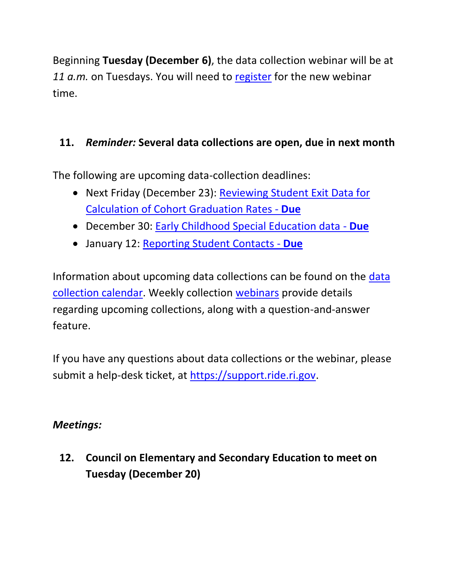Beginning **Tuesday (December 6)**, the data collection webinar will be at *11 a.m.* on Tuesdays. You will need to [register](https://attendee.gotowebinar.com/register/7717991463351728385) for the new webinar time.

## <span id="page-10-0"></span>**11.** *Reminder:* **Several data collections are open, due in next month**

The following are upcoming data-collection deadlines:

- Next Friday (December 23): [Reviewing Student Exit Data for](https://www.eride.ri.gov/eRide40/DataDictionary/ViewDetails.aspx?ID=356)  [Calculation of Cohort Graduation Rates -](https://www.eride.ri.gov/eRide40/DataDictionary/ViewDetails.aspx?ID=356) **Due**
- December 30: [Early Childhood Special Education data -](https://www.eride.ri.gov/eRide40/DataDictionary/ViewDetails.aspx?ID=363) **Due**
- January 12: [Reporting Student Contacts -](https://www.eride.ri.gov/eRide40/DataDictionary/ViewDetails.aspx?ID=342) **Due**

Information about upcoming data collections can be found on the [data](https://www.eride.ri.gov/eRide40/DataDictionary/Calendar.aspx)  [collection calendar.](https://www.eride.ri.gov/eRide40/DataDictionary/Calendar.aspx) Weekly collection [webinars](https://attendee.gotowebinar.com/register/7717991463351728385) provide details regarding upcoming collections, along with a question-and-answer feature.

If you have any questions about data collections or the webinar, please submit a help-desk ticket, at [https://support.ride.ri.gov.](https://support.ride.ri.gov/)

### *Meetings:*

<span id="page-10-1"></span>**12. Council on Elementary and Secondary Education to meet on Tuesday (December 20)**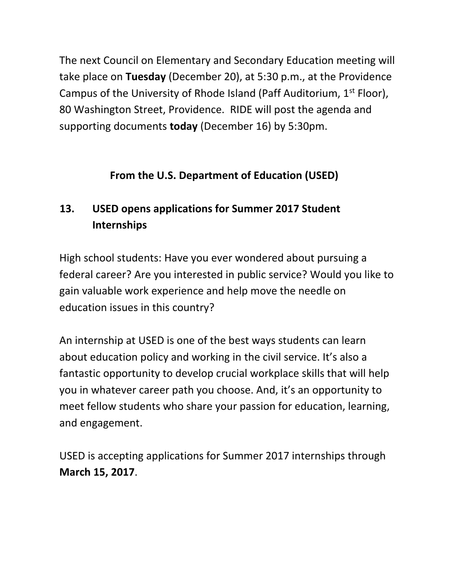The next Council on Elementary and Secondary Education meeting will take place on **Tuesday** (December 20), at 5:30 p.m., at the Providence Campus of the University of Rhode Island (Paff Auditorium,  $1<sup>st</sup>$  Floor), 80 Washington Street, Providence. RIDE will post the agenda and supporting documents **today** (December 16) by 5:30pm.

## **From the U.S. Department of Education (USED)**

# <span id="page-11-0"></span>**13. USED opens applications for Summer 2017 Student Internships**

High school students: Have you ever wondered about pursuing a federal career? Are you interested in public service? Would you like to gain valuable work experience and help move the needle on education issues in this country?

An internship at USED is one of the best ways students can learn about education policy and working in the civil service. It's also a fantastic opportunity to develop crucial workplace skills that will help you in whatever career path you choose. And, it's an opportunity to meet fellow students who share your passion for education, learning, and engagement.

USED is accepting applications for Summer 2017 internships through **March 15, 2017**.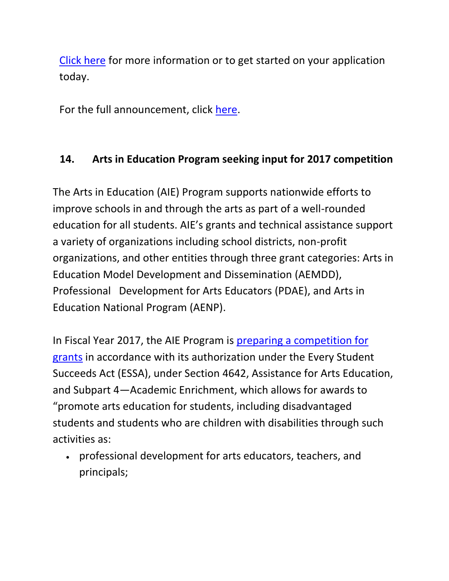[Click here](http://www2.ed.gov/students/prep/job/intern/index.html) for more information or to get started on your application today.

For the full announcement, click [here.](http://blog.ed.gov/2016/12/summer-2017-intern-application/)

## <span id="page-12-0"></span>**14. Arts in Education Program seeking input for 2017 competition**

The Arts in Education (AIE) Program supports nationwide efforts to improve schools in and through the arts as part of a well-rounded education for all students. AIE's grants and technical assistance support a variety of organizations including school districts, non-profit organizations, and other entities through three grant categories: Arts in Education Model Development and Dissemination (AEMDD), Professional Development for Arts Educators (PDAE), and Arts in Education National Program (AENP).

In Fiscal Year 2017, the AIE Program is [preparing a competition for](http://blog.ed.gov/2016/12/arts-in-education-program-seeking-input-for-2017-competition/)  [grants](http://blog.ed.gov/2016/12/arts-in-education-program-seeking-input-for-2017-competition/) in accordance with its authorization under the Every Student Succeeds Act (ESSA), under Section 4642, Assistance for Arts Education, and Subpart 4—Academic Enrichment, which allows for awards to "promote arts education for students, including disadvantaged students and students who are children with disabilities through such activities as:

 professional development for arts educators, teachers, and principals;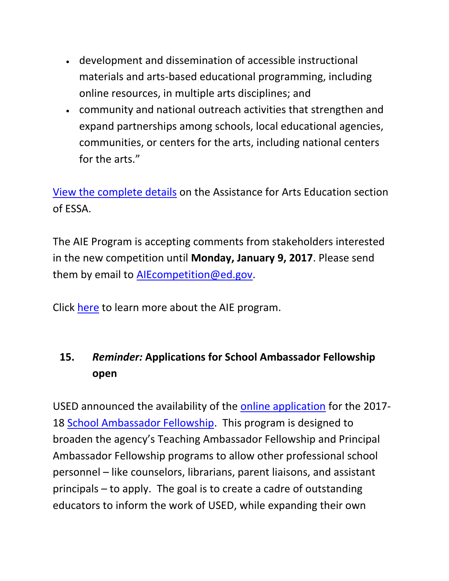- development and dissemination of accessible instructional materials and arts-based educational programming, including online resources, in multiple arts disciplines; and
- community and national outreach activities that strengthen and expand partnerships among schools, local educational agencies, communities, or centers for the arts, including national centers for the arts."

[View the complete details](http://www2.ed.gov/documents/essa-act-of-1965.pdf) on the Assistance for Arts Education section of ESSA.

The AIE Program is accepting comments from stakeholders interested in the new competition until **Monday, January 9, 2017**. Please send them by email to [AIEcompetition@ed.gov.](mailto:AIEcompetition@ed.gov)

Click [here](http://innovation.ed.gov/what-we-do/arts/) to learn more about the AIE program.

# <span id="page-13-0"></span>**15.** *Reminder:* **Applications for School Ambassador Fellowship open**

USED announced the availability of the [online application](http://www2.ed.gov/programs/schoolfellowship/applicant.html) for the 2017- 18 [School Ambassador Fellowship.](http://www2.ed.gov/programs/schoolfellowship/) This program is designed to broaden the agency's Teaching Ambassador Fellowship and Principal Ambassador Fellowship programs to allow other professional school personnel – like counselors, librarians, parent liaisons, and assistant principals – to apply. The goal is to create a cadre of outstanding educators to inform the work of USED, while expanding their own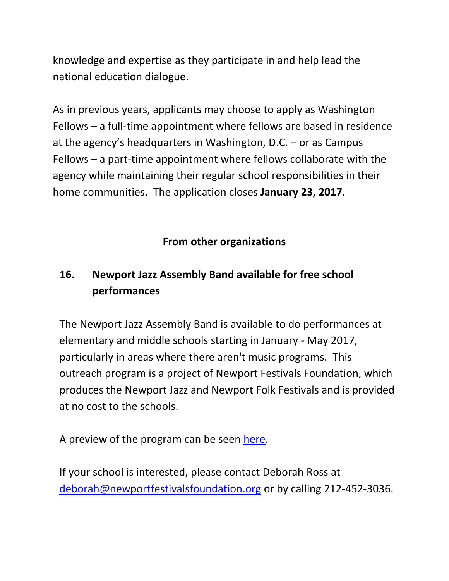knowledge and expertise as they participate in and help lead the national education dialogue.

As in previous years, applicants may choose to apply as Washington Fellows – a full-time appointment where fellows are based in residence at the agency's headquarters in Washington, D.C. – or as Campus Fellows – a part-time appointment where fellows collaborate with the agency while maintaining their regular school responsibilities in their home communities. The application closes **January 23, 2017**.

## **From other organizations**

# <span id="page-14-0"></span>**16. Newport Jazz Assembly Band available for free school performances**

The Newport Jazz Assembly Band is available to do performances at elementary and middle schools starting in January - May 2017, particularly in areas where there aren't music programs. This outreach program is a project of Newport Festivals Foundation, which produces the Newport Jazz and Newport Folk Festivals and is provided at no cost to the schools.

A preview of the program can be seen [here.](http://www.newportfestivalsfoundation.org/programs/)

If your school is interested, please contact Deborah Ross at [deborah@newportfestivalsfoundation.org](mailto:deborah@newportfestivalsfoundation.org) or by calling 212-452-3036.